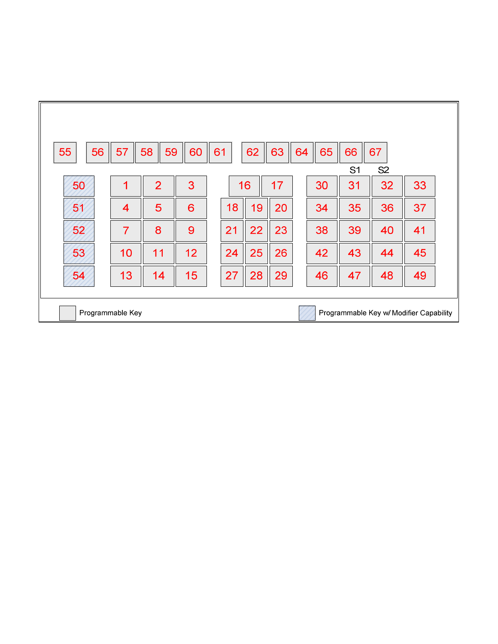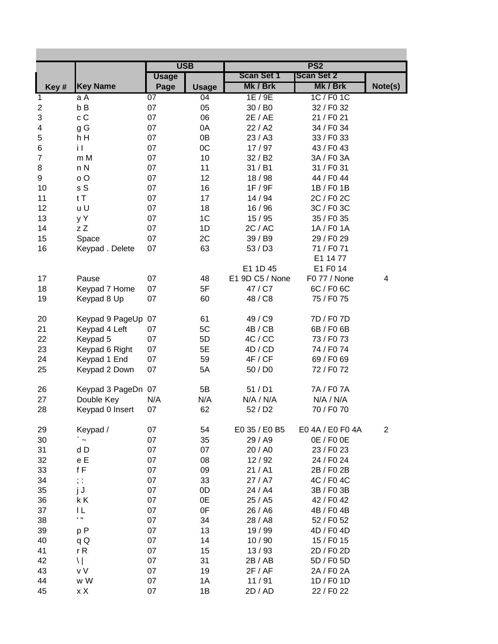| <b>USB</b><br><b>Scan Set 1</b><br><b>Scan Set 2</b><br><b>Usage</b><br>Mk / Brk<br><b>Key Name</b><br>Mk / Brk<br>Note(s)<br>Key#<br>Page<br><b>Usage</b><br>07<br>1E/9E<br>1C / F0 1C<br>aA<br>04<br>1<br>b B<br>07<br>05<br>30 / B0<br>32 / F0 32<br>$\overline{\mathbf{c}}$<br>c C<br>06<br>3<br>07<br>2E / AE<br>21 / F0 21<br>g G<br>07<br>0A<br>22 / A2<br>4<br>34 / F0 34<br>5<br>h H<br>07<br>0B<br>23/AA<br>33 / F0 33<br>0C<br>07<br>6<br>iΙ<br>17/97<br>43 / F0 43<br>07<br>10<br>$\overline{7}$<br>m M<br>32 / B2<br>3A / F0 3A<br>07<br>11<br>8<br>n N<br>31 / B1<br>31 / F0 31<br>o O<br>07<br>12<br>9<br>18/98<br>44 / F0 44<br>s S<br>07<br>16<br>10<br>1F/9F<br>1B / F0 1B<br>tT<br>07<br>17<br>2C / F0 2C<br>11<br>14 / 94<br>12<br>u U<br>07<br>18<br>3C / F0 3C<br>16/96<br>13<br>y Y<br>07<br>1 <sup>C</sup><br>15/95<br>35 / F0 35<br>z Z<br>07<br>1D<br>14<br>2C / AC<br>1A / F0 1A<br>15<br>07<br>2C<br>Space<br>39 / B9<br>29 / F0 29<br>07<br>63<br>16<br>Keypad. Delete<br>53/DS<br>71 / F0 71<br>E1 14 77<br>E1 F0 14<br>E1 1D 45<br>E1 9D C5 / None<br>F0 77 / None<br>07<br>48<br>17<br>Pause<br>4<br>5F<br>07<br>47 / C7<br>6C / F0 6C<br>18<br>Keypad 7 Home<br>60<br>48 / C8<br>75 / F0 75<br>19<br>Keypad 8 Up<br>07<br>49 / C9<br>7D / F0 7D<br>20<br>Keypad 9 PageUp<br>07<br>61<br>5C<br>4B / CB<br>21<br>Keypad 4 Left<br>07<br>6B / F0 6B<br>22<br>07<br>5D<br>4C / CC<br>Keypad 5<br>73 / F0 73<br>23<br>07<br>5E<br>4D / CD<br>Keypad 6 Right<br>74 / F0 74<br>07<br>59<br>4F / CF<br>24<br>Keypad 1 End<br>69 / F0 69<br>07<br>5A<br>50 / D0<br>25<br>Keypad 2 Down<br>72 / F0 72<br>5B<br>51/D1<br>7A / F07A<br>26<br>Keypad 3 PageDn 07<br>27<br>Double Key<br>N/A<br>N/A<br>N/A / N/A<br>N/A / N/A<br>62<br>52/D2<br>70 / F0 70<br>28<br>Keypad 0 Insert<br>07<br>Keypad /<br>07<br>54<br>E0 35 / E0 B5<br>E04A / E0 F04A<br>$\overline{c}$<br>29<br>07<br>30<br>` ~<br>35<br>29 / A9<br>0E / F0 0E<br>d D<br>07<br>07<br>31<br>20 / A0<br>23 / F0 23<br>e E<br>07<br>08<br>32<br>12/92<br>24 / F0 24<br>f F<br>07<br>09<br>33<br>21/AI<br>2B / F0 2B<br>07<br>33<br>34<br>; :<br>27 / A7<br>4C / F0 4C<br>07<br>0D<br>35<br>j J<br>24 / A4<br>3B / F0 3B<br>07<br>0E<br>36<br>k K<br>25 / A5<br>42 / F0 42<br>ΙL<br>07<br>0F<br>37<br>26 / A6<br>4B / F0 4B<br>$\mathbf{H}$<br>38<br>07<br>34<br>28 / A8<br>52 / F0 52<br>07<br>13<br>39<br>p P<br>19 / 99<br>4D / F0 4D<br>07<br>14<br>40<br>10/90<br>15 / F0 15<br>qQ<br>41<br>rR<br>07<br>15<br>13/93<br>2D / F0 2D<br>$\setminus$<br>07<br>31<br>42<br>2B / AB<br>5D / F0 5D<br>v V<br>07<br>19<br>43<br>2F / AF<br>2A / F0 2A<br>07<br>44<br>w W<br>1A<br>11/91<br>1D / F0 1D |  |  | PS <sub>2</sub> |  |
|-----------------------------------------------------------------------------------------------------------------------------------------------------------------------------------------------------------------------------------------------------------------------------------------------------------------------------------------------------------------------------------------------------------------------------------------------------------------------------------------------------------------------------------------------------------------------------------------------------------------------------------------------------------------------------------------------------------------------------------------------------------------------------------------------------------------------------------------------------------------------------------------------------------------------------------------------------------------------------------------------------------------------------------------------------------------------------------------------------------------------------------------------------------------------------------------------------------------------------------------------------------------------------------------------------------------------------------------------------------------------------------------------------------------------------------------------------------------------------------------------------------------------------------------------------------------------------------------------------------------------------------------------------------------------------------------------------------------------------------------------------------------------------------------------------------------------------------------------------------------------------------------------------------------------------------------------------------------------------------------------------------------------------------------------------------------------------------------------------------------------------------------------------------------------------------------------------------------------------------------------------------------------------------------------------------------------------------------------------------------------------------------------------------------------------------------------------------------------------------------------------------------------------------------------------------------------------------------------------------------------------------------------------------------------------------|--|--|-----------------|--|
|                                                                                                                                                                                                                                                                                                                                                                                                                                                                                                                                                                                                                                                                                                                                                                                                                                                                                                                                                                                                                                                                                                                                                                                                                                                                                                                                                                                                                                                                                                                                                                                                                                                                                                                                                                                                                                                                                                                                                                                                                                                                                                                                                                                                                                                                                                                                                                                                                                                                                                                                                                                                                                                                                   |  |  |                 |  |
|                                                                                                                                                                                                                                                                                                                                                                                                                                                                                                                                                                                                                                                                                                                                                                                                                                                                                                                                                                                                                                                                                                                                                                                                                                                                                                                                                                                                                                                                                                                                                                                                                                                                                                                                                                                                                                                                                                                                                                                                                                                                                                                                                                                                                                                                                                                                                                                                                                                                                                                                                                                                                                                                                   |  |  |                 |  |
|                                                                                                                                                                                                                                                                                                                                                                                                                                                                                                                                                                                                                                                                                                                                                                                                                                                                                                                                                                                                                                                                                                                                                                                                                                                                                                                                                                                                                                                                                                                                                                                                                                                                                                                                                                                                                                                                                                                                                                                                                                                                                                                                                                                                                                                                                                                                                                                                                                                                                                                                                                                                                                                                                   |  |  |                 |  |
|                                                                                                                                                                                                                                                                                                                                                                                                                                                                                                                                                                                                                                                                                                                                                                                                                                                                                                                                                                                                                                                                                                                                                                                                                                                                                                                                                                                                                                                                                                                                                                                                                                                                                                                                                                                                                                                                                                                                                                                                                                                                                                                                                                                                                                                                                                                                                                                                                                                                                                                                                                                                                                                                                   |  |  |                 |  |
|                                                                                                                                                                                                                                                                                                                                                                                                                                                                                                                                                                                                                                                                                                                                                                                                                                                                                                                                                                                                                                                                                                                                                                                                                                                                                                                                                                                                                                                                                                                                                                                                                                                                                                                                                                                                                                                                                                                                                                                                                                                                                                                                                                                                                                                                                                                                                                                                                                                                                                                                                                                                                                                                                   |  |  |                 |  |
|                                                                                                                                                                                                                                                                                                                                                                                                                                                                                                                                                                                                                                                                                                                                                                                                                                                                                                                                                                                                                                                                                                                                                                                                                                                                                                                                                                                                                                                                                                                                                                                                                                                                                                                                                                                                                                                                                                                                                                                                                                                                                                                                                                                                                                                                                                                                                                                                                                                                                                                                                                                                                                                                                   |  |  |                 |  |
|                                                                                                                                                                                                                                                                                                                                                                                                                                                                                                                                                                                                                                                                                                                                                                                                                                                                                                                                                                                                                                                                                                                                                                                                                                                                                                                                                                                                                                                                                                                                                                                                                                                                                                                                                                                                                                                                                                                                                                                                                                                                                                                                                                                                                                                                                                                                                                                                                                                                                                                                                                                                                                                                                   |  |  |                 |  |
|                                                                                                                                                                                                                                                                                                                                                                                                                                                                                                                                                                                                                                                                                                                                                                                                                                                                                                                                                                                                                                                                                                                                                                                                                                                                                                                                                                                                                                                                                                                                                                                                                                                                                                                                                                                                                                                                                                                                                                                                                                                                                                                                                                                                                                                                                                                                                                                                                                                                                                                                                                                                                                                                                   |  |  |                 |  |
|                                                                                                                                                                                                                                                                                                                                                                                                                                                                                                                                                                                                                                                                                                                                                                                                                                                                                                                                                                                                                                                                                                                                                                                                                                                                                                                                                                                                                                                                                                                                                                                                                                                                                                                                                                                                                                                                                                                                                                                                                                                                                                                                                                                                                                                                                                                                                                                                                                                                                                                                                                                                                                                                                   |  |  |                 |  |
|                                                                                                                                                                                                                                                                                                                                                                                                                                                                                                                                                                                                                                                                                                                                                                                                                                                                                                                                                                                                                                                                                                                                                                                                                                                                                                                                                                                                                                                                                                                                                                                                                                                                                                                                                                                                                                                                                                                                                                                                                                                                                                                                                                                                                                                                                                                                                                                                                                                                                                                                                                                                                                                                                   |  |  |                 |  |
|                                                                                                                                                                                                                                                                                                                                                                                                                                                                                                                                                                                                                                                                                                                                                                                                                                                                                                                                                                                                                                                                                                                                                                                                                                                                                                                                                                                                                                                                                                                                                                                                                                                                                                                                                                                                                                                                                                                                                                                                                                                                                                                                                                                                                                                                                                                                                                                                                                                                                                                                                                                                                                                                                   |  |  |                 |  |
|                                                                                                                                                                                                                                                                                                                                                                                                                                                                                                                                                                                                                                                                                                                                                                                                                                                                                                                                                                                                                                                                                                                                                                                                                                                                                                                                                                                                                                                                                                                                                                                                                                                                                                                                                                                                                                                                                                                                                                                                                                                                                                                                                                                                                                                                                                                                                                                                                                                                                                                                                                                                                                                                                   |  |  |                 |  |
|                                                                                                                                                                                                                                                                                                                                                                                                                                                                                                                                                                                                                                                                                                                                                                                                                                                                                                                                                                                                                                                                                                                                                                                                                                                                                                                                                                                                                                                                                                                                                                                                                                                                                                                                                                                                                                                                                                                                                                                                                                                                                                                                                                                                                                                                                                                                                                                                                                                                                                                                                                                                                                                                                   |  |  |                 |  |
|                                                                                                                                                                                                                                                                                                                                                                                                                                                                                                                                                                                                                                                                                                                                                                                                                                                                                                                                                                                                                                                                                                                                                                                                                                                                                                                                                                                                                                                                                                                                                                                                                                                                                                                                                                                                                                                                                                                                                                                                                                                                                                                                                                                                                                                                                                                                                                                                                                                                                                                                                                                                                                                                                   |  |  |                 |  |
|                                                                                                                                                                                                                                                                                                                                                                                                                                                                                                                                                                                                                                                                                                                                                                                                                                                                                                                                                                                                                                                                                                                                                                                                                                                                                                                                                                                                                                                                                                                                                                                                                                                                                                                                                                                                                                                                                                                                                                                                                                                                                                                                                                                                                                                                                                                                                                                                                                                                                                                                                                                                                                                                                   |  |  |                 |  |
|                                                                                                                                                                                                                                                                                                                                                                                                                                                                                                                                                                                                                                                                                                                                                                                                                                                                                                                                                                                                                                                                                                                                                                                                                                                                                                                                                                                                                                                                                                                                                                                                                                                                                                                                                                                                                                                                                                                                                                                                                                                                                                                                                                                                                                                                                                                                                                                                                                                                                                                                                                                                                                                                                   |  |  |                 |  |
|                                                                                                                                                                                                                                                                                                                                                                                                                                                                                                                                                                                                                                                                                                                                                                                                                                                                                                                                                                                                                                                                                                                                                                                                                                                                                                                                                                                                                                                                                                                                                                                                                                                                                                                                                                                                                                                                                                                                                                                                                                                                                                                                                                                                                                                                                                                                                                                                                                                                                                                                                                                                                                                                                   |  |  |                 |  |
|                                                                                                                                                                                                                                                                                                                                                                                                                                                                                                                                                                                                                                                                                                                                                                                                                                                                                                                                                                                                                                                                                                                                                                                                                                                                                                                                                                                                                                                                                                                                                                                                                                                                                                                                                                                                                                                                                                                                                                                                                                                                                                                                                                                                                                                                                                                                                                                                                                                                                                                                                                                                                                                                                   |  |  |                 |  |
|                                                                                                                                                                                                                                                                                                                                                                                                                                                                                                                                                                                                                                                                                                                                                                                                                                                                                                                                                                                                                                                                                                                                                                                                                                                                                                                                                                                                                                                                                                                                                                                                                                                                                                                                                                                                                                                                                                                                                                                                                                                                                                                                                                                                                                                                                                                                                                                                                                                                                                                                                                                                                                                                                   |  |  |                 |  |
|                                                                                                                                                                                                                                                                                                                                                                                                                                                                                                                                                                                                                                                                                                                                                                                                                                                                                                                                                                                                                                                                                                                                                                                                                                                                                                                                                                                                                                                                                                                                                                                                                                                                                                                                                                                                                                                                                                                                                                                                                                                                                                                                                                                                                                                                                                                                                                                                                                                                                                                                                                                                                                                                                   |  |  |                 |  |
|                                                                                                                                                                                                                                                                                                                                                                                                                                                                                                                                                                                                                                                                                                                                                                                                                                                                                                                                                                                                                                                                                                                                                                                                                                                                                                                                                                                                                                                                                                                                                                                                                                                                                                                                                                                                                                                                                                                                                                                                                                                                                                                                                                                                                                                                                                                                                                                                                                                                                                                                                                                                                                                                                   |  |  |                 |  |
|                                                                                                                                                                                                                                                                                                                                                                                                                                                                                                                                                                                                                                                                                                                                                                                                                                                                                                                                                                                                                                                                                                                                                                                                                                                                                                                                                                                                                                                                                                                                                                                                                                                                                                                                                                                                                                                                                                                                                                                                                                                                                                                                                                                                                                                                                                                                                                                                                                                                                                                                                                                                                                                                                   |  |  |                 |  |
|                                                                                                                                                                                                                                                                                                                                                                                                                                                                                                                                                                                                                                                                                                                                                                                                                                                                                                                                                                                                                                                                                                                                                                                                                                                                                                                                                                                                                                                                                                                                                                                                                                                                                                                                                                                                                                                                                                                                                                                                                                                                                                                                                                                                                                                                                                                                                                                                                                                                                                                                                                                                                                                                                   |  |  |                 |  |
|                                                                                                                                                                                                                                                                                                                                                                                                                                                                                                                                                                                                                                                                                                                                                                                                                                                                                                                                                                                                                                                                                                                                                                                                                                                                                                                                                                                                                                                                                                                                                                                                                                                                                                                                                                                                                                                                                                                                                                                                                                                                                                                                                                                                                                                                                                                                                                                                                                                                                                                                                                                                                                                                                   |  |  |                 |  |
|                                                                                                                                                                                                                                                                                                                                                                                                                                                                                                                                                                                                                                                                                                                                                                                                                                                                                                                                                                                                                                                                                                                                                                                                                                                                                                                                                                                                                                                                                                                                                                                                                                                                                                                                                                                                                                                                                                                                                                                                                                                                                                                                                                                                                                                                                                                                                                                                                                                                                                                                                                                                                                                                                   |  |  |                 |  |
|                                                                                                                                                                                                                                                                                                                                                                                                                                                                                                                                                                                                                                                                                                                                                                                                                                                                                                                                                                                                                                                                                                                                                                                                                                                                                                                                                                                                                                                                                                                                                                                                                                                                                                                                                                                                                                                                                                                                                                                                                                                                                                                                                                                                                                                                                                                                                                                                                                                                                                                                                                                                                                                                                   |  |  |                 |  |
|                                                                                                                                                                                                                                                                                                                                                                                                                                                                                                                                                                                                                                                                                                                                                                                                                                                                                                                                                                                                                                                                                                                                                                                                                                                                                                                                                                                                                                                                                                                                                                                                                                                                                                                                                                                                                                                                                                                                                                                                                                                                                                                                                                                                                                                                                                                                                                                                                                                                                                                                                                                                                                                                                   |  |  |                 |  |
|                                                                                                                                                                                                                                                                                                                                                                                                                                                                                                                                                                                                                                                                                                                                                                                                                                                                                                                                                                                                                                                                                                                                                                                                                                                                                                                                                                                                                                                                                                                                                                                                                                                                                                                                                                                                                                                                                                                                                                                                                                                                                                                                                                                                                                                                                                                                                                                                                                                                                                                                                                                                                                                                                   |  |  |                 |  |
|                                                                                                                                                                                                                                                                                                                                                                                                                                                                                                                                                                                                                                                                                                                                                                                                                                                                                                                                                                                                                                                                                                                                                                                                                                                                                                                                                                                                                                                                                                                                                                                                                                                                                                                                                                                                                                                                                                                                                                                                                                                                                                                                                                                                                                                                                                                                                                                                                                                                                                                                                                                                                                                                                   |  |  |                 |  |
|                                                                                                                                                                                                                                                                                                                                                                                                                                                                                                                                                                                                                                                                                                                                                                                                                                                                                                                                                                                                                                                                                                                                                                                                                                                                                                                                                                                                                                                                                                                                                                                                                                                                                                                                                                                                                                                                                                                                                                                                                                                                                                                                                                                                                                                                                                                                                                                                                                                                                                                                                                                                                                                                                   |  |  |                 |  |
|                                                                                                                                                                                                                                                                                                                                                                                                                                                                                                                                                                                                                                                                                                                                                                                                                                                                                                                                                                                                                                                                                                                                                                                                                                                                                                                                                                                                                                                                                                                                                                                                                                                                                                                                                                                                                                                                                                                                                                                                                                                                                                                                                                                                                                                                                                                                                                                                                                                                                                                                                                                                                                                                                   |  |  |                 |  |
|                                                                                                                                                                                                                                                                                                                                                                                                                                                                                                                                                                                                                                                                                                                                                                                                                                                                                                                                                                                                                                                                                                                                                                                                                                                                                                                                                                                                                                                                                                                                                                                                                                                                                                                                                                                                                                                                                                                                                                                                                                                                                                                                                                                                                                                                                                                                                                                                                                                                                                                                                                                                                                                                                   |  |  |                 |  |
|                                                                                                                                                                                                                                                                                                                                                                                                                                                                                                                                                                                                                                                                                                                                                                                                                                                                                                                                                                                                                                                                                                                                                                                                                                                                                                                                                                                                                                                                                                                                                                                                                                                                                                                                                                                                                                                                                                                                                                                                                                                                                                                                                                                                                                                                                                                                                                                                                                                                                                                                                                                                                                                                                   |  |  |                 |  |
|                                                                                                                                                                                                                                                                                                                                                                                                                                                                                                                                                                                                                                                                                                                                                                                                                                                                                                                                                                                                                                                                                                                                                                                                                                                                                                                                                                                                                                                                                                                                                                                                                                                                                                                                                                                                                                                                                                                                                                                                                                                                                                                                                                                                                                                                                                                                                                                                                                                                                                                                                                                                                                                                                   |  |  |                 |  |
|                                                                                                                                                                                                                                                                                                                                                                                                                                                                                                                                                                                                                                                                                                                                                                                                                                                                                                                                                                                                                                                                                                                                                                                                                                                                                                                                                                                                                                                                                                                                                                                                                                                                                                                                                                                                                                                                                                                                                                                                                                                                                                                                                                                                                                                                                                                                                                                                                                                                                                                                                                                                                                                                                   |  |  |                 |  |
|                                                                                                                                                                                                                                                                                                                                                                                                                                                                                                                                                                                                                                                                                                                                                                                                                                                                                                                                                                                                                                                                                                                                                                                                                                                                                                                                                                                                                                                                                                                                                                                                                                                                                                                                                                                                                                                                                                                                                                                                                                                                                                                                                                                                                                                                                                                                                                                                                                                                                                                                                                                                                                                                                   |  |  |                 |  |
|                                                                                                                                                                                                                                                                                                                                                                                                                                                                                                                                                                                                                                                                                                                                                                                                                                                                                                                                                                                                                                                                                                                                                                                                                                                                                                                                                                                                                                                                                                                                                                                                                                                                                                                                                                                                                                                                                                                                                                                                                                                                                                                                                                                                                                                                                                                                                                                                                                                                                                                                                                                                                                                                                   |  |  |                 |  |
|                                                                                                                                                                                                                                                                                                                                                                                                                                                                                                                                                                                                                                                                                                                                                                                                                                                                                                                                                                                                                                                                                                                                                                                                                                                                                                                                                                                                                                                                                                                                                                                                                                                                                                                                                                                                                                                                                                                                                                                                                                                                                                                                                                                                                                                                                                                                                                                                                                                                                                                                                                                                                                                                                   |  |  |                 |  |
|                                                                                                                                                                                                                                                                                                                                                                                                                                                                                                                                                                                                                                                                                                                                                                                                                                                                                                                                                                                                                                                                                                                                                                                                                                                                                                                                                                                                                                                                                                                                                                                                                                                                                                                                                                                                                                                                                                                                                                                                                                                                                                                                                                                                                                                                                                                                                                                                                                                                                                                                                                                                                                                                                   |  |  |                 |  |
|                                                                                                                                                                                                                                                                                                                                                                                                                                                                                                                                                                                                                                                                                                                                                                                                                                                                                                                                                                                                                                                                                                                                                                                                                                                                                                                                                                                                                                                                                                                                                                                                                                                                                                                                                                                                                                                                                                                                                                                                                                                                                                                                                                                                                                                                                                                                                                                                                                                                                                                                                                                                                                                                                   |  |  |                 |  |
|                                                                                                                                                                                                                                                                                                                                                                                                                                                                                                                                                                                                                                                                                                                                                                                                                                                                                                                                                                                                                                                                                                                                                                                                                                                                                                                                                                                                                                                                                                                                                                                                                                                                                                                                                                                                                                                                                                                                                                                                                                                                                                                                                                                                                                                                                                                                                                                                                                                                                                                                                                                                                                                                                   |  |  |                 |  |
|                                                                                                                                                                                                                                                                                                                                                                                                                                                                                                                                                                                                                                                                                                                                                                                                                                                                                                                                                                                                                                                                                                                                                                                                                                                                                                                                                                                                                                                                                                                                                                                                                                                                                                                                                                                                                                                                                                                                                                                                                                                                                                                                                                                                                                                                                                                                                                                                                                                                                                                                                                                                                                                                                   |  |  |                 |  |
|                                                                                                                                                                                                                                                                                                                                                                                                                                                                                                                                                                                                                                                                                                                                                                                                                                                                                                                                                                                                                                                                                                                                                                                                                                                                                                                                                                                                                                                                                                                                                                                                                                                                                                                                                                                                                                                                                                                                                                                                                                                                                                                                                                                                                                                                                                                                                                                                                                                                                                                                                                                                                                                                                   |  |  |                 |  |
|                                                                                                                                                                                                                                                                                                                                                                                                                                                                                                                                                                                                                                                                                                                                                                                                                                                                                                                                                                                                                                                                                                                                                                                                                                                                                                                                                                                                                                                                                                                                                                                                                                                                                                                                                                                                                                                                                                                                                                                                                                                                                                                                                                                                                                                                                                                                                                                                                                                                                                                                                                                                                                                                                   |  |  |                 |  |
|                                                                                                                                                                                                                                                                                                                                                                                                                                                                                                                                                                                                                                                                                                                                                                                                                                                                                                                                                                                                                                                                                                                                                                                                                                                                                                                                                                                                                                                                                                                                                                                                                                                                                                                                                                                                                                                                                                                                                                                                                                                                                                                                                                                                                                                                                                                                                                                                                                                                                                                                                                                                                                                                                   |  |  |                 |  |
|                                                                                                                                                                                                                                                                                                                                                                                                                                                                                                                                                                                                                                                                                                                                                                                                                                                                                                                                                                                                                                                                                                                                                                                                                                                                                                                                                                                                                                                                                                                                                                                                                                                                                                                                                                                                                                                                                                                                                                                                                                                                                                                                                                                                                                                                                                                                                                                                                                                                                                                                                                                                                                                                                   |  |  |                 |  |
|                                                                                                                                                                                                                                                                                                                                                                                                                                                                                                                                                                                                                                                                                                                                                                                                                                                                                                                                                                                                                                                                                                                                                                                                                                                                                                                                                                                                                                                                                                                                                                                                                                                                                                                                                                                                                                                                                                                                                                                                                                                                                                                                                                                                                                                                                                                                                                                                                                                                                                                                                                                                                                                                                   |  |  |                 |  |
| 07<br>22 / F0 22<br>45<br>x X<br>1B<br>2D / AD                                                                                                                                                                                                                                                                                                                                                                                                                                                                                                                                                                                                                                                                                                                                                                                                                                                                                                                                                                                                                                                                                                                                                                                                                                                                                                                                                                                                                                                                                                                                                                                                                                                                                                                                                                                                                                                                                                                                                                                                                                                                                                                                                                                                                                                                                                                                                                                                                                                                                                                                                                                                                                    |  |  |                 |  |

m,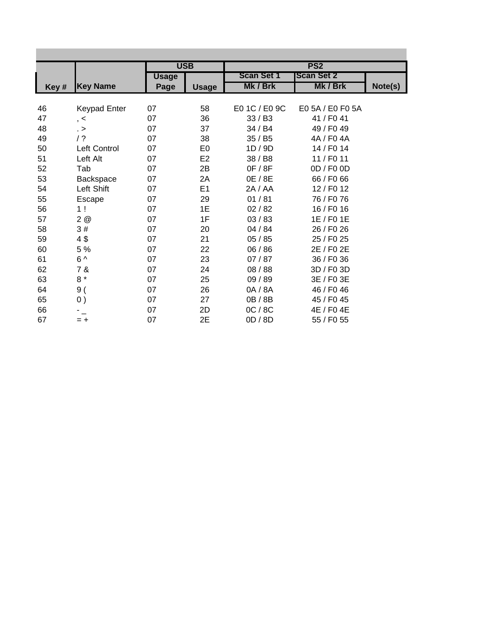|      |                 |              | <b>USB</b>     |                   | PS <sub>2</sub>   |         |
|------|-----------------|--------------|----------------|-------------------|-------------------|---------|
|      |                 | <b>Usage</b> |                | <b>Scan Set 1</b> | <b>Scan Set 2</b> |         |
| Key# | <b>Key Name</b> | Page         | <b>Usage</b>   | Mk / Brk          | Mk / Brk          | Note(s) |
|      |                 |              |                |                   |                   |         |
| 46   | Keypad Enter    | 07           | 58             | E0 1C / E0 9C     | E0 5A / E0 F0 5A  |         |
| 47   | , <             | 07           | 36             | 33 / B3           | 41 / F0 41        |         |
| 48   | $\geq$          | 07           | 37             | 34 / B4           | 49 / F0 49        |         |
| 49   | / ?             | 07           | 38             | 35 / B5           | 4A / F0 4A        |         |
| 50   | Left Control    | 07           | E <sub>0</sub> | 1D / 9D           | 14 / F0 14        |         |
| 51   | Left Alt        | 07           | E <sub>2</sub> | 38 / B8           | 11 / F0 11        |         |
| 52   | Tab             | 07           | 2B             | 0F / 8F           | 0D / F0 0D        |         |
| 53   | Backspace       | 07           | 2A             | 0E / 8E           | 66 / F0 66        |         |
| 54   | Left Shift      | 07           | E1             | 2A / AA           | 12 / F0 12        |         |
| 55   | Escape          | 07           | 29             | 01/81             | 76 / F0 76        |         |
| 56   | 1!              | 07           | 1E             | 02/82             | 16 / F0 16        |         |
| 57   | 2@              | 07           | 1F             | 03/83             | 1E / F0 1E        |         |
| 58   | 3#              | 07           | 20             | 04 / 84           | 26 / F0 26        |         |
| 59   | 4\$             | 07           | 21             | 05/85             | 25 / F0 25        |         |
| 60   | 5 %             | 07           | 22             | 06 / 86           | 2E / F0 2E        |         |
| 61   | $6^{\wedge}$    | 07           | 23             | 07/87             | 36 / F0 36        |         |
| 62   | 7 &             | 07           | 24             | 08 / 88           | 3D / F0 3D        |         |
| 63   | $8*$            | 07           | 25             | 09 / 89           | 3E / F0 3E        |         |
| 64   | 9(              | 07           | 26             | 0A / 8A           | 46 / F0 46        |         |
| 65   | 0)              | 07           | 27             | 0B / 8B           | 45 / F0 45        |         |
| 66   |                 | 07           | 2D             | OC / 8C           | 4E / F0 4E        |         |
| 67   | $= +$           | 07           | 2E             | 0D / 8D           | 55 / F0 55        |         |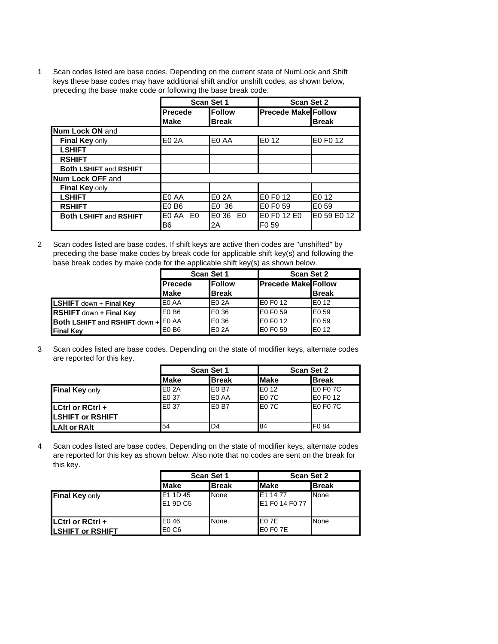1 Scan codes listed are base codes. Depending on the current state of NumLock and Shift keys these base codes may have additional shift and/or unshift codes, as shown below, preceding the base make code or following the base break code.

|                               | <b>Scan Set 1</b> |               | <b>Scan Set 2</b>          |                   |
|-------------------------------|-------------------|---------------|----------------------------|-------------------|
|                               | <b>Precede</b>    | <b>Follow</b> | <b>Precede Make Follow</b> |                   |
|                               | <b>Make</b>       | <b>Break</b>  |                            | <b>Break</b>      |
| <b>Num Lock ON and</b>        |                   |               |                            |                   |
| Final Key only                | E02A              | E0 AA         | E0 12                      | E0 F0 12          |
| <b>LSHIFT</b>                 |                   |               |                            |                   |
| <b>RSHIFT</b>                 |                   |               |                            |                   |
| <b>Both LSHIFT and RSHIFT</b> |                   |               |                            |                   |
| <b>Num Lock OFF and</b>       |                   |               |                            |                   |
| Final Key only                |                   |               |                            |                   |
| <b>LSHIFT</b>                 | E0 AA             | E0 2A         | E0 F0 12                   | E <sub>0</sub> 12 |
| <b>RSHIFT</b>                 | E0 B6             | E0 36         | E0 F0 59                   | E <sub>0</sub> 59 |
| <b>Both LSHIFT and RSHIFT</b> | EO AA EO          | E0<br>E0 36   | E0 F0 12 E0                | E0 59 E0 12       |
|                               | B6                | 2Α            | F <sub>0</sub> 59          |                   |

2 Scan codes listed are base codes. If shift keys are active then codes are "unshifted" by preceding the base make codes by break code for applicable shift key(s) and following the base break codes by make code for the applicable shift key(s) as shown below.

|                                     |                                  | <b>Scan Set 1</b> | <b>Scan Set 2</b>          |              |  |
|-------------------------------------|----------------------------------|-------------------|----------------------------|--------------|--|
|                                     | <b>IFollow</b><br><b>Precede</b> |                   | <b>Precede Make Follow</b> |              |  |
|                                     | <b>Make</b>                      | <b>Break</b>      |                            | <b>Break</b> |  |
| <b>LSHIFT</b> down + Final Key      | E0 AA                            | E0 2A             | E0 F0 12                   | IE0 12       |  |
| <b>RSHIFT</b> down + Final Key      | E <sub>0</sub> B <sub>6</sub>    | E0 36             | E0 F0 59                   | E0 59        |  |
| Both LSHIFT and RSHIFT down + E0 AA |                                  | E0 36             | E0 F0 12                   | IE0 59       |  |
| <b>Final Key</b>                    | E <sub>0</sub> B <sub>6</sub>    | E0 2A             | E0 F0 59                   | E0 12        |  |

3 Scan codes listed are base codes. Depending on the state of modifier keys, alternate codes are reported for this key.

|                         |             | <b>Scan Set 1</b> | <b>Scan Set 2</b> |                   |  |
|-------------------------|-------------|-------------------|-------------------|-------------------|--|
|                         | <b>Make</b> | <b>Break</b>      | <b>Make</b>       | <b>Break</b>      |  |
| <b>Final Key only</b>   | E0 2A       | E <sub>0</sub> B7 | <b>IEO 12</b>     | E0 F0 7C          |  |
|                         | E0 37       | E0 AA             | IE0 7C            | E0 F0 12          |  |
| LCtrl or RCtrl +        | E0 37       | E <sub>0</sub> B7 | E07C              | E0 F0 7C          |  |
| <b>LSHIFT or RSHIFT</b> |             |                   |                   |                   |  |
| <b>LAIt or RAIt</b>     | 54          | ID4               | 84                | F <sub>0</sub> 84 |  |

4 Scan codes listed are base codes. Depending on the state of modifier keys, alternate codes are reported for this key as shown below. Also note that no codes are sent on the break for this key.

|                                                    |                                       | <b>Scan Set 1</b> |                                    | <b>Scan Set 2</b> |  |  |
|----------------------------------------------------|---------------------------------------|-------------------|------------------------------------|-------------------|--|--|
|                                                    | <b>Make</b>                           | <b>Break</b>      | <b>Make</b>                        | <b>Break</b>      |  |  |
| Final Key only                                     | E1 1D 45<br><b>E1 9D C5</b>           | None              | <b>IE1 14 77</b><br>E1 F0 14 F0 77 | None              |  |  |
| <b>LCtrl or RCtrl +</b><br><b>LSHIFT or RSHIFT</b> | E046<br>E <sub>0</sub> C <sub>6</sub> | None              | IEO 7E<br>E0 F0 7E                 | None              |  |  |